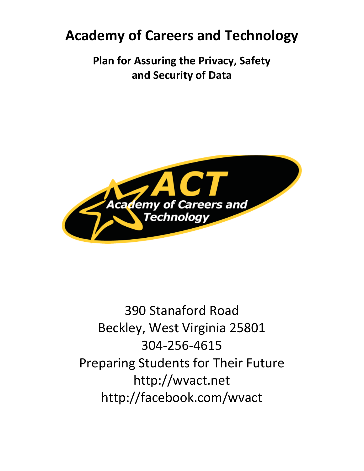# **Academy of Careers and Technology**

**Plan for Assuring the Privacy, Safety and Security of Data**



390 Stanaford Road Beckley, West Virginia 25801 304-256-4615 Preparing Students for Their Future http://wvact.net http://facebook.com/wvact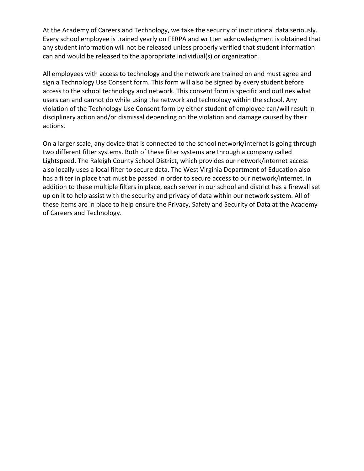At the Academy of Careers and Technology, we take the security of institutional data seriously. Every school employee is trained yearly on FERPA and written acknowledgment is obtained that any student information will not be released unless properly verified that student information can and would be released to the appropriate individual(s) or organization.

All employees with access to technology and the network are trained on and must agree and sign a Technology Use Consent form. This form will also be signed by every student before access to the school technology and network. This consent form is specific and outlines what users can and cannot do while using the network and technology within the school. Any violation of the Technology Use Consent form by either student of employee can/will result in disciplinary action and/or dismissal depending on the violation and damage caused by their actions.

On a larger scale, any device that is connected to the school network/internet is going through two different filter systems. Both of these filter systems are through a company called Lightspeed. The Raleigh County School District, which provides our network/internet access also locally uses a local filter to secure data. The West Virginia Department of Education also has a filter in place that must be passed in order to secure access to our network/internet. In addition to these multiple filters in place, each server in our school and district has a firewall set up on it to help assist with the security and privacy of data within our network system. All of these items are in place to help ensure the Privacy, Safety and Security of Data at the Academy of Careers and Technology.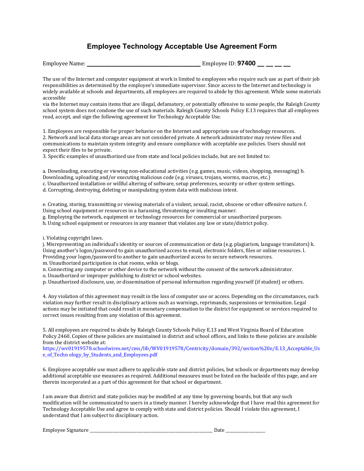# **Employee Technology Acceptable Use Agreement Form**

| <b>Employee Name:</b> | Employee ID: <b>97400 __ __ __ __</b> |  |
|-----------------------|---------------------------------------|--|
|-----------------------|---------------------------------------|--|

The use of the Internet and computer equipment at work is limited to employees who require such use as part of their job responsibilities as determined by the employee's immediate supervisor. Since access to the Internet and technology is widely available at schools and departments, all employees are required to abide by this agreement. While some materials accessible

via the Internet may contain items that are illegal, defamatory, or potentially offensive to some people, the Raleigh County school system does not condone the use of such materials. Raleigh County Schools Policy E.13 requires that all employees read, accept, and sign the following agreement for Technology Acceptable Use.

1. Employees are responsible for proper behavior on the Internet and appropriate use of technology resources. 2. Network and local data storage areas are not considered private. A network administrator may review files and communications to maintain system integrity and ensure compliance with acceptable use policies. Users should not expect their files to be private.

3. Specific examples of unauthorized use from state and local policies include, but are not limited to:

a. Downloading, executing or viewing non-educational activities (e.g. games, music, videos, shopping, messaging) b. Downloading, uploading and/or executing malicious code (e.g. viruses, trojans, worms, macros, etc.) c. Unauthorized installation or willful altering of software, setup preferences, security or other system settings. d. Corrupting, destroying, deleting or manipulating system data with malicious intent.

e. Creating, storing, transmitting or viewing materials of a violent, sexual, racist, obscene or other offensive nature. f. Using school equipment or resources in a harassing, threatening or insulting manner.

g. Employing the network, equipment or technology resources for commercial or unauthorized purposes.

h. Using school equipment or resources in any manner that violates any law or state/district policy.

i. Violating copyright laws.

j. Misrepresenting an individual's identity or sources of communication or data (e.g. plagiarism, language translators) k. Using another's logon/password to gain unauthorized access to email, electronic folders, files or online resources. l. Providing your logon/password to another to gain unauthorized access to secure network resources.

m. Unauthorized participation in chat rooms, wikis or blogs.

n. Connecting any computer or other device to the network without the consent of the network administrator.

o. Unauthorized or improper publishing to district or school websites.

p. Unauthorized disclosure, use, or dissemination of personal information regarding yourself (if student) or others.

4. Any violation of this agreement may result in the loss of computer use or access. Depending on the circumstances, such violation may further result in disciplinary actions such as warnings, reprimands, suspensions or termination. Legal actions may be initiated that could result in monetary compensation to the district for equipment or services required to correct issues resulting from any violation of this agreement.

5. All employees are required to abide by Raleigh County Schools Policy E.13 and West Virginia Board of Education Policy 2460. Copies of these policies are maintained in district and school offices, and links to these policies are available from the district website at:

https://wv01919578.schoolwires.net/cms/lib/WV01919578/Centricity/domain/392/section%20e/E.13\_Acceptable\_Us e\_of\_Techn ology\_by\_Students\_and\_Employees.pdf

6. Employee acceptable use must adhere to applicable state and district policies, but schools or departments may develop additional acceptable use measures as required. Additional measures must be listed on the backside of this page, and are therein incorporated as a part of this agreement for that school or department.

I am aware that district and state policies may be modified at any time by governing boards, but that any such modification will be communicated to users in a timely manner. I hereby acknowledge that I have read this agreement for Technology Acceptable Use and agree to comply with state and district policies. Should I violate this agreement, I understand that I am subject to disciplinary action.

Employee Signature **Employee Signature**  $\Box$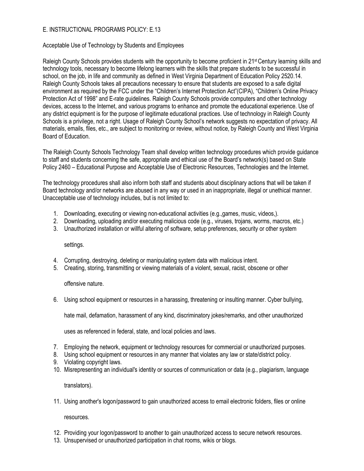# E. INSTRUCTIONAL PROGRAMS POLICY: E.13

#### Acceptable Use of Technology by Students and Employees

Raleigh County Schools provides students with the opportunity to become proficient in 21<sup>st</sup> Century learning skills and technology tools, necessary to become lifelong learners with the skills that prepare students to be successful in school, on the job, in life and community as defined in West Virginia Department of Education Policy 2520.14. Raleigh County Schools takes all precautions necessary to ensure that students are exposed to a safe digital environment as required by the FCC under the "Children's Internet Protection Act"(CIPA), "Children's Online Privacy Protection Act of 1998" and E-rate guidelines. Raleigh County Schools provide computers and other technology devices, access to the Internet, and various programs to enhance and promote the educational experience. Use of any district equipment is for the purpose of legitimate educational practices. Use of technology in Raleigh County Schools is a privilege, not a right. Usage of Raleigh County School's network suggests no expectation of privacy. All materials, emails, files, etc., are subject to monitoring or review, without notice, by Raleigh County and West Virginia Board of Education.

The Raleigh County Schools Technology Team shall develop written technology procedures which provide guidance to staff and students concerning the safe, appropriate and ethical use of the Board's network(s) based on State Policy 2460 – Educational Purpose and Acceptable Use of Electronic Resources, Technologies and the Internet.

The technology procedures shall also inform both staff and students about disciplinary actions that will be taken if Board technology and/or networks are abused in any way or used in an inappropriate, illegal or unethical manner. Unacceptable use of technology includes, but is not limited to:

- 1. Downloading, executing or viewing non-educational activities (e.g.,games, music, videos,).
- 2. Downloading, uploading and/or executing malicious code (e.g., viruses, trojans, worms, macros, etc.)
- 3. Unauthorized installation or willful altering of software, setup preferences, security or other system

settings.

- 4. Corrupting, destroying, deleting or manipulating system data with malicious intent.
- 5. Creating, storing, transmitting or viewing materials of a violent, sexual, racist, obscene or other

offensive nature.

6. Using school equipment or resources in a harassing, threatening or insulting manner. Cyber bullying,

hate mail, defamation, harassment of any kind, discriminatory jokes/remarks, and other unauthorized

uses as referenced in federal, state, and local policies and laws.

- 7. Employing the network, equipment or technology resources for commercial or unauthorized purposes.
- 8. Using school equipment or resources in any manner that violates any law or state/district policy.
- 9. Violating copyright laws.
- 10. Misrepresenting an individual's identity or sources of communication or data (e.g., plagiarism, language

translators).

11. Using another's logon/password to gain unauthorized access to email electronic folders, files or online

resources.

- 12. Providing your logon/password to another to gain unauthorized access to secure network resources.
- 13. Unsupervised or unauthorized participation in chat rooms, wikis or blogs.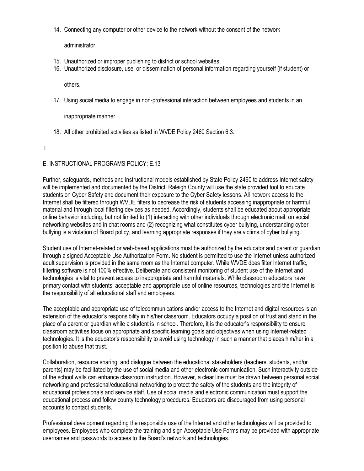14. Connecting any computer or other device to the network without the consent of the network

administrator.

- 15. Unauthorized or improper publishing to district or school websites.
- 16. Unauthorized disclosure, use, or dissemination of personal information regarding yourself (if student) or

others.

17. Using social media to engage in non-professional interaction between employees and students in an

inappropriate manner.

18. All other prohibited activities as listed in WVDE Policy 2460 Section 6.3.

1

# E. INSTRUCTIONAL PROGRAMS POLICY: E.13

Further, safeguards, methods and instructional models established by State Policy 2460 to address Internet safety will be implemented and documented by the District. Raleigh County will use the state provided tool to educate students on Cyber Safety and document their exposure to the Cyber Safety lessons. All network access to the Internet shall be filtered through WVDE filters to decrease the risk of students accessing inappropriate or harmful material and through local filtering devices as needed. Accordingly, students shall be educated about appropriate online behavior including, but not limited to (1) interacting with other individuals through electronic mail, on social networking websites and in chat rooms and (2) recognizing what constitutes cyber bullying, understanding cyber bullying is a violation of Board policy, and learning appropriate responses if they are victims of cyber bullying.

Student use of Internet-related or web-based applications must be authorized by the educator and parent or guardian through a signed Acceptable Use Authorization Form. No student is permitted to use the Internet unless authorized adult supervision is provided in the same room as the Internet computer. While WVDE does filter Internet traffic, filtering software is not 100% effective. Deliberate and consistent monitoring of student use of the Internet and technologies is vital to prevent access to inappropriate and harmful materials. While classroom educators have primary contact with students, acceptable and appropriate use of online resources, technologies and the Internet is the responsibility of all educational staff and employees.

The acceptable and appropriate use of telecommunications and/or access to the Internet and digital resources is an extension of the educator's responsibility in his/her classroom. Educators occupy a position of trust and stand in the place of a parent or guardian while a student is in school. Therefore, it is the educator's responsibility to ensure classroom activities focus on appropriate and specific learning goals and objectives when using Internet-related technologies. It is the educator's responsibility to avoid using technology in such a manner that places him/her in a position to abuse that trust.

Collaboration, resource sharing, and dialogue between the educational stakeholders (teachers, students, and/or parents) may be facilitated by the use of social media and other electronic communication. Such interactivity outside of the school walls can enhance classroom instruction. However, a clear line must be drawn between personal social networking and professional/educational networking to protect the safety of the students and the integrity of educational professionals and service staff. Use of social media and electronic communication must support the educational process and follow county technology procedures. Educators are discouraged from using personal accounts to contact students.

Professional development regarding the responsible use of the Internet and other technologies will be provided to employees. Employees who complete the training and sign Acceptable Use Forms may be provided with appropriate usernames and passwords to access to the Board's network and technologies.